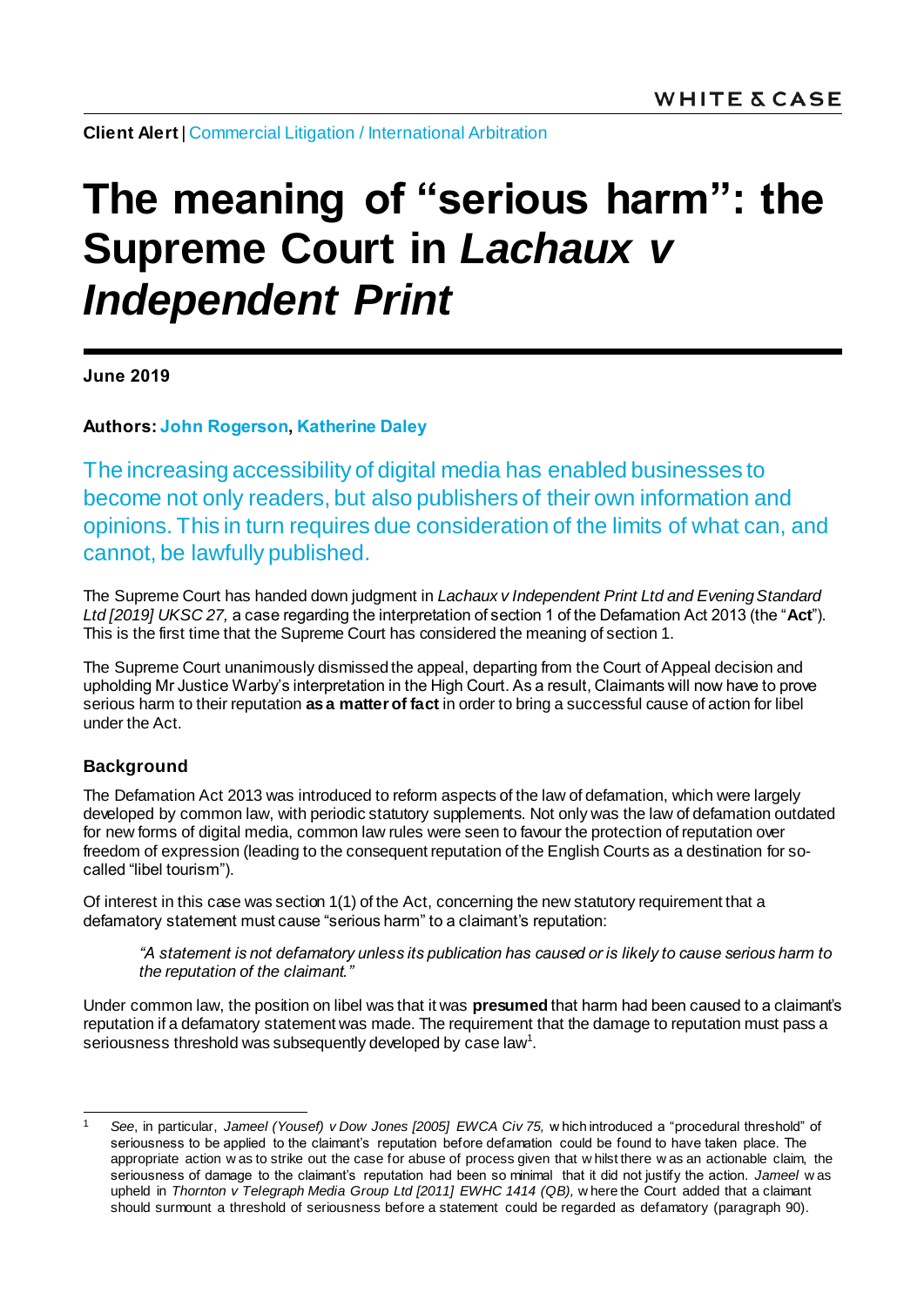**Client Alert | [Commercial Litigation](https://www.whitecase.com/law/practices/commercial-litigation) / [International Arbitration](https://www.whitecase.com/law/practices/international-arbitration)** 

# **The meaning of "serious harm": the Supreme Court in Lachaux v** *Independent Print*

**June 2019**

**Authors[: John Rogerson,](https://www.whitecase.com/people/john-rogerson) [Katherine Daley](mailto:katherine.daley@whitecase.com)**

The increasing accessibility of digital media has enabled businesses to become not only readers, but also publishers of their own information and opinions. This in turn requires due consideration of the limits of what can, and cannot, be lawfully published.

The Supreme Court has handed down judgment in *Lachaux v Independent Print Ltd and Evening Standard Ltd [2019] UKSC 27,* a case regarding the interpretation of section 1 of the Defamation Act 2013 (the "**Act**"). This is the first time that the Supreme Court has considered the meaning of section 1.

The Supreme Court unanimously dismissed the appeal, departing from the Court of Appeal decision and upholding Mr Justice Warby's interpretation in the High Court. As a result, Claimants will now have to prove serious harm to their reputation **as a matter of fact** in order to bring a successful cause of action for libel under the Act.

## **Background**

The Defamation Act 2013 was introduced to reform aspects of the law of defamation, which were largely developed by common law, with periodic statutory supplements. Not only was the law of defamation outdated for new forms of digital media, common law rules were seen to favour the protection of reputation over freedom of expression (leading to the consequent reputation of the English Courts as a destination for socalled "libel tourism").

Of interest in this case was section 1(1) of the Act, concerning the new statutory requirement that a defamatory statement must cause "serious harm" to a claimant's reputation:

*"A statement is not defamatory unless its publication has caused or is likely to cause serious harm to the reputation of the claimant."*

Under common law, the position on libel was that it was **presumed** that harm had been caused to a claimant's reputation if a defamatory statement was made. The requirement that the damage to reputation must pass a seriousness threshold was subsequently developed by case law<sup>1</sup>.

l <sup>1</sup> *See*, in particular, *Jameel (Yousef) v Dow Jones [2005] EWCA Civ 75,* w hich introduced a "procedural threshold" of seriousness to be applied to the claimant's reputation before defamation could be found to have taken place. The appropriate action w as to strike out the case for abuse of process given that w hilst there w as an actionable claim, the seriousness of damage to the claimant's reputation had been so minimal that it did not justify the action. *Jameel* w as upheld in *Thornton v Telegraph Media Group Ltd [2011] EWHC 1414 (QB),* w here the Court added that a claimant should surmount a threshold of seriousness before a statement could be regarded as defamatory (paragraph 90).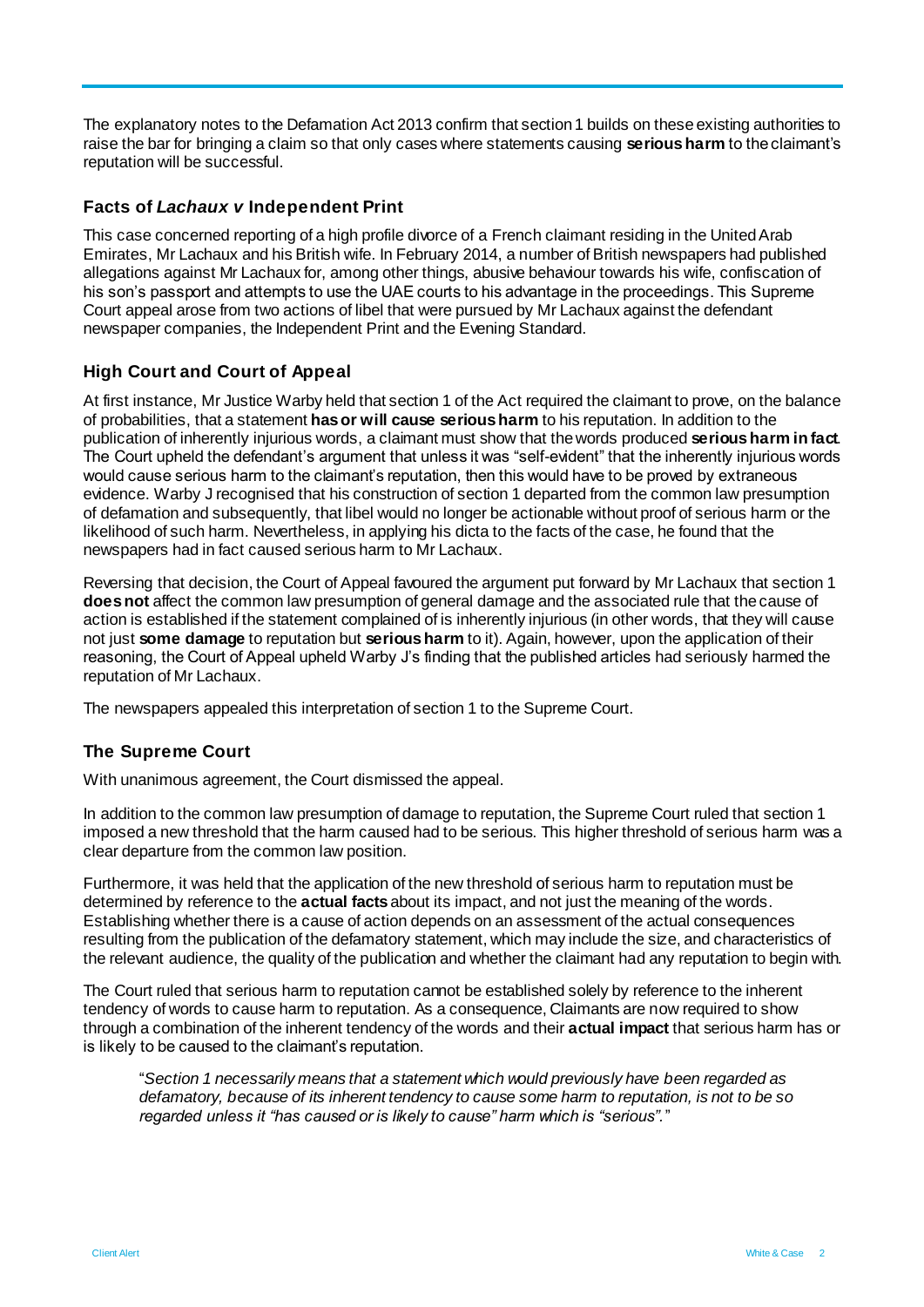The explanatory notes to the Defamation Act 2013 confirm that section 1 builds on these existing authorities to raise the bar for bringing a claim so that only cases where statements causing **serious harm** to the claimant's reputation will be successful.

### **Facts of** *Lachaux v* **Independent Print**

This case concerned reporting of a high profile divorce of a French claimant residing in the United Arab Emirates, Mr Lachaux and his British wife. In February 2014, a number of British newspapers had published allegations against Mr Lachaux for, among other things, abusive behaviour towards his wife, confiscation of his son's passport and attempts to use the UAE courts to his advantage in the proceedings. This Supreme Court appeal arose from two actions of libel that were pursued by Mr Lachaux against the defendant newspaper companies, the Independent Print and the Evening Standard.

## **High Court and Court of Appeal**

At first instance, Mr Justice Warby held that section 1 of the Act required the claimant to prove, on the balance of probabilities, that a statement **has or will cause serious harm** to his reputation. In addition to the publication of inherently injurious words, a claimant must show that the words produced **serious harm in fact**. The Court upheld the defendant's argument that unless it was "self-evident" that the inherently injurious words would cause serious harm to the claimant's reputation, then this would have to be proved by extraneous evidence. Warby J recognised that his construction of section 1 departed from the common law presumption of defamation and subsequently, that libel would no longer be actionable without proof of serious harm or the likelihood of such harm. Nevertheless, in applying his dicta to the facts of the case, he found that the newspapers had in fact caused serious harm to Mr Lachaux.

Reversing that decision, the Court of Appeal favoured the argument put forward by Mr Lachaux that section 1 **does not** affect the common law presumption of general damage and the associated rule that the cause of action is established if the statement complained of is inherently injurious (in other words, that they will cause not just **some damage** to reputation but **serious harm** to it). Again, however, upon the application of their reasoning, the Court of Appeal upheld Warby J's finding that the published articles had seriously harmed the reputation of Mr Lachaux.

The newspapers appealed this interpretation of section 1 to the Supreme Court.

## **The Supreme Court**

With unanimous agreement, the Court dismissed the appeal.

In addition to the common law presumption of damage to reputation, the Supreme Court ruled that section 1 imposed a new threshold that the harm caused had to be serious. This higher threshold of serious harm was a clear departure from the common law position.

Furthermore, it was held that the application of the new threshold of serious harm to reputation must be determined by reference to the **actual facts** about its impact, and not just the meaning of the words. Establishing whether there is a cause of action depends on an assessment of the actual consequences resulting from the publication of the defamatory statement, which may include the size, and characteristics of the relevant audience, the quality of the publication and whether the claimant had any reputation to begin with.

The Court ruled that serious harm to reputation cannot be established solely by reference to the inherent tendency of words to cause harm to reputation. As a consequence, Claimants are now required to show through a combination of the inherent tendency of the words and their **actual impact** that serious harm has or is likely to be caused to the claimant's reputation.

"*Section 1 necessarily means that a statement which would previously have been regarded as defamatory, because of its inherent tendency to cause some harm to reputation, is not to be so regarded unless it "has caused or is likely to cause" harm which is "serious".*"